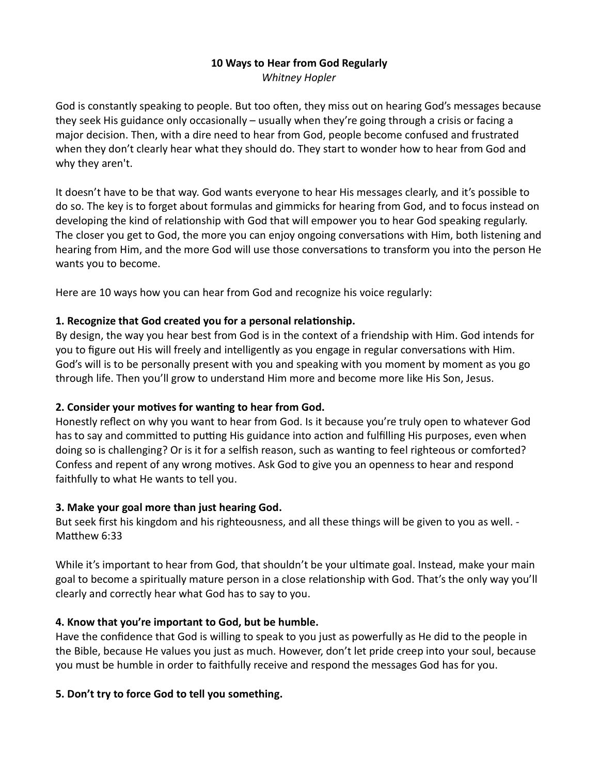## 10 Ways to Hear from God Regularly

Whitney Hopler

God is constantly speaking to people. But too often, they miss out on hearing God's messages because they seek His guidance only occasionally – usually when they're going through a crisis or facing a major decision. Then, with a dire need to hear from God, people become confused and frustrated when they don't clearly hear what they should do. They start to wonder how to hear from God and why they aren't.

It doesn't have to be that way. God wants everyone to hear His messages clearly, and it's possible to do so. The key is to forget about formulas and gimmicks for hearing from God, and to focus instead on developing the kind of relationship with God that will empower you to hear God speaking regularly. The closer you get to God, the more you can enjoy ongoing conversations with Him, both listening and hearing from Him, and the more God will use those conversations to transform you into the person He wants you to become.

Here are 10 ways how you can hear from God and recognize his voice regularly:

## 1. Recognize that God created you for a personal relationship.

By design, the way you hear best from God is in the context of a friendship with Him. God intends for you to figure out His will freely and intelligently as you engage in regular conversations with Him. God's will is to be personally present with you and speaking with you moment by moment as you go through life. Then you'll grow to understand Him more and become more like His Son, Jesus.

# 2. Consider your motives for wanting to hear from God.

Honestly reflect on why you want to hear from God. Is it because you're truly open to whatever God has to say and committed to putting His guidance into action and fulfilling His purposes, even when doing so is challenging? Or is it for a selfish reason, such as wanting to feel righteous or comforted? Confess and repent of any wrong motives. Ask God to give you an openness to hear and respond faithfully to what He wants to tell you.

# 3. Make your goal more than just hearing God.

But seek first his kingdom and his righteousness, and all these things will be given to you as well. - Matthew 6:33

While it's important to hear from God, that shouldn't be your ultimate goal. Instead, make your main goal to become a spiritually mature person in a close relationship with God. That's the only way you'll clearly and correctly hear what God has to say to you.

# 4. Know that you're important to God, but be humble.

Have the confidence that God is willing to speak to you just as powerfully as He did to the people in the Bible, because He values you just as much. However, don't let pride creep into your soul, because you must be humble in order to faithfully receive and respond the messages God has for you.

# 5. Don't try to force God to tell you something.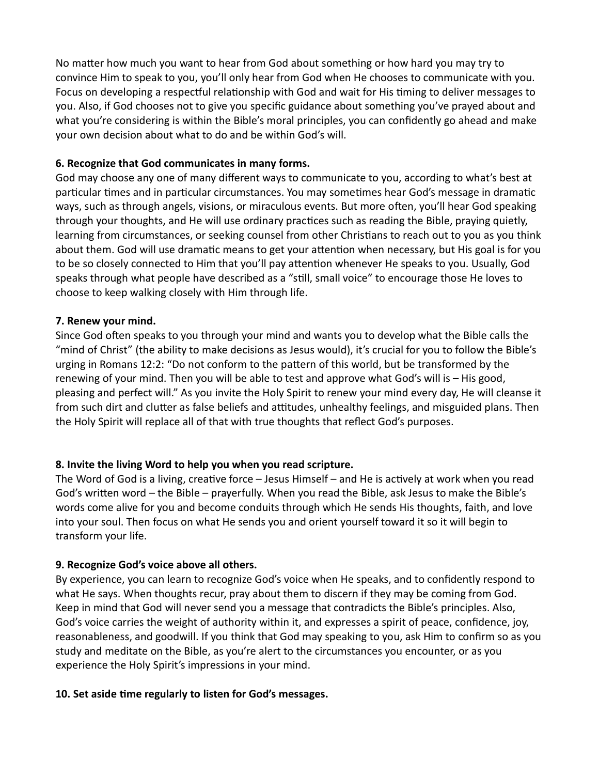No matter how much you want to hear from God about something or how hard you may try to convince Him to speak to you, you'll only hear from God when He chooses to communicate with you. Focus on developing a respectful relationship with God and wait for His timing to deliver messages to you. Also, if God chooses not to give you specific guidance about something you've prayed about and what you're considering is within the Bible's moral principles, you can confidently go ahead and make your own decision about what to do and be within God's will.

### 6. Recognize that God communicates in many forms.

God may choose any one of many different ways to communicate to you, according to what's best at particular times and in particular circumstances. You may sometimes hear God's message in dramatic ways, such as through angels, visions, or miraculous events. But more often, you'll hear God speaking through your thoughts, and He will use ordinary practices such as reading the Bible, praying quietly, learning from circumstances, or seeking counsel from other Christians to reach out to you as you think about them. God will use dramatic means to get your attention when necessary, but His goal is for you to be so closely connected to Him that you'll pay attention whenever He speaks to you. Usually, God speaks through what people have described as a "still, small voice" to encourage those He loves to choose to keep walking closely with Him through life.

### 7. Renew your mind.

Since God often speaks to you through your mind and wants you to develop what the Bible calls the "mind of Christ" (the ability to make decisions as Jesus would), it's crucial for you to follow the Bible's urging in Romans 12:2: "Do not conform to the pattern of this world, but be transformed by the renewing of your mind. Then you will be able to test and approve what God's will is – His good, pleasing and perfect will." As you invite the Holy Spirit to renew your mind every day, He will cleanse it from such dirt and clutter as false beliefs and attitudes, unhealthy feelings, and misguided plans. Then the Holy Spirit will replace all of that with true thoughts that reflect God's purposes.

## 8. Invite the living Word to help you when you read scripture.

The Word of God is a living, creative force – Jesus Himself – and He is actively at work when you read God's written word – the Bible – prayerfully. When you read the Bible, ask Jesus to make the Bible's words come alive for you and become conduits through which He sends His thoughts, faith, and love into your soul. Then focus on what He sends you and orient yourself toward it so it will begin to transform your life.

#### 9. Recognize God's voice above all others.

By experience, you can learn to recognize God's voice when He speaks, and to confidently respond to what He says. When thoughts recur, pray about them to discern if they may be coming from God. Keep in mind that God will never send you a message that contradicts the Bible's principles. Also, God's voice carries the weight of authority within it, and expresses a spirit of peace, confidence, joy, reasonableness, and goodwill. If you think that God may speaking to you, ask Him to confirm so as you study and meditate on the Bible, as you're alert to the circumstances you encounter, or as you experience the Holy Spirit's impressions in your mind.

#### 10. Set aside time regularly to listen for God's messages.